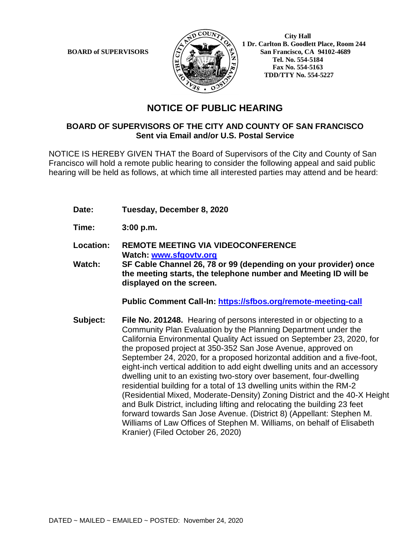

 **1 Dr. Carlton B. Goodlett Place, Room 244 BOARD of SUPERVISORS**  $\left(\frac{S}{I}\right)$   $\oplus$   $\left(\frac{S}{I}\right)$  San Francisco, CA 94102-4689  **Tel. No. 554-5184 Fax No. 554-5163 TDD/TTY No. 554-5227**

## **NOTICE OF PUBLIC HEARING**

## **BOARD OF SUPERVISORS OF THE CITY AND COUNTY OF SAN FRANCISCO Sent via Email and/or U.S. Postal Service**

NOTICE IS HEREBY GIVEN THAT the Board of Supervisors of the City and County of San Francisco will hold a remote public hearing to consider the following appeal and said public hearing will be held as follows, at which time all interested parties may attend and be heard:

- **Date: Tuesday, December 8, 2020**
- **Time: 3:00 p.m.**
- **Location: REMOTE MEETING VIA VIDEOCONFERENCE Watch: www.sfgovtv.org**
- **Watch: SF Cable Channel 26, 78 or 99 (depending on your provider) once the meeting starts, the telephone number and Meeting ID will be displayed on the screen.**

**Public Comment Call-In: https://sfbos.org/remote-meeting-call**

**Subject: File No. 201248.** Hearing of persons interested in or objecting to a Community Plan Evaluation by the Planning Department under the California Environmental Quality Act issued on September 23, 2020, for the proposed project at 350-352 San Jose Avenue, approved on September 24, 2020, for a proposed horizontal addition and a five-foot, eight-inch vertical addition to add eight dwelling units and an accessory dwelling unit to an existing two-story over basement, four-dwelling residential building for a total of 13 dwelling units within the RM-2 (Residential Mixed, Moderate-Density) Zoning District and the 40-X Height and Bulk District, including lifting and relocating the building 23 feet forward towards San Jose Avenue. (District 8) (Appellant: Stephen M. Williams of Law Offices of Stephen M. Williams, on behalf of Elisabeth Kranier) (Filed October 26, 2020)